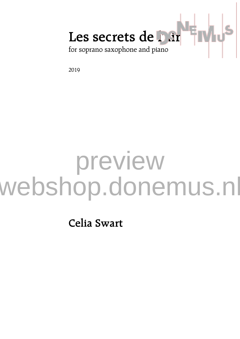

2019

## preview webshop.donemus.nl

**Celia Swart**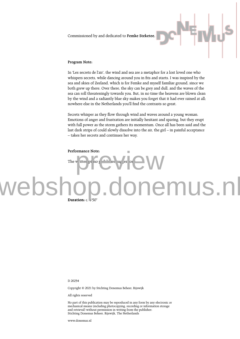Commissioned by and dedicated to **Femke Steketee.**



## **Program Note:**

In 'Les secrets de l'air', the wind and sea are a metaphor for a lost loved one who whispers secrets, while dancing around you in fits and starts. I was inspired by the sea and skies of Zeeland, which is for Femke and myself familiar ground, since we both grew up there. Over there, the sky can be grey and dull, and the waves of the sea can roll threateningly towards you. But, in no time the heavens are blown clean by the wind and a radiantly blue sky makes you forget that it had ever rained at all; nowhere else in the Netherlands you'll find the contrasts so great.

Secrets whisper as they flow through wind and waves around a young woman. Emotions of anger and frustration are initially hesitant and sparing, but they erupt with full power as the storm gathers its momentum. Once all has been said and the last dark strips of could slowly dissolve into the air, the girl – in painful acceptance – takes her secrets and continues her way.

## **Performance Note:**

The varitter piano pedals are suggestions.

**Duration:**  $c = \sqrt{50}$ pressure Note:<br>a stretch pi not data re ug es or ebshop.donemus.n

D 20234

Copyright © 2021 by Stichting Donemus Beheer, Rijswijk

All rights reserved

No part of this publication may be reproduced in any form by any electronic or mechanical means (including photocopying, recording or information storage and retrieval) without permission in writing from the publisher: Stichting Donemus Beheer, Rijswijk, The Netherlands

www.donemus.nl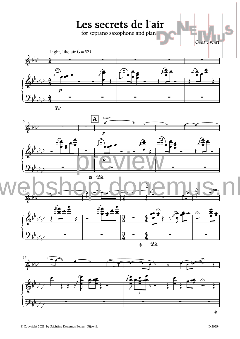

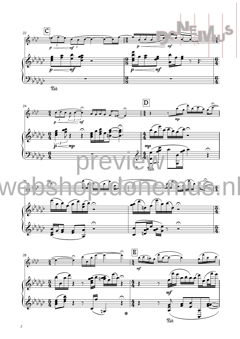